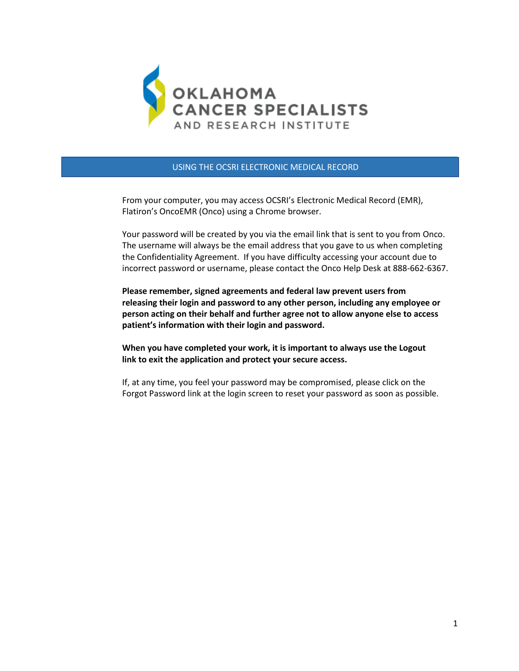

USING THE OCSRI ELECTRONIC MEDICAL RECORD

 From your computer, you may access OCSRI's Electronic Medical Record (EMR), Flatiron's OncoEMR (Onco) using a Chrome browser.

 Your password will be created by you via the email link that is sent to you from Onco. The username will always be the email address that you gave to us when completing the Confidentiality Agreement. If you have difficulty accessing your account due to incorrect password or username, please contact the Onco Help Desk at 888-662-6367.

 **Please remember, signed agreements and federal law prevent users from releasing their login and password to any other person, including any employee or person acting on their behalf and further agree not to allow anyone else to access patient's information with their login and password.** 

 **When you have completed your work, it is important to always use the Logout link to exit the application and protect your secure access.**

 If, at any time, you feel your password may be compromised, please click on the Forgot Password link at the login screen to reset your password as soon as possible.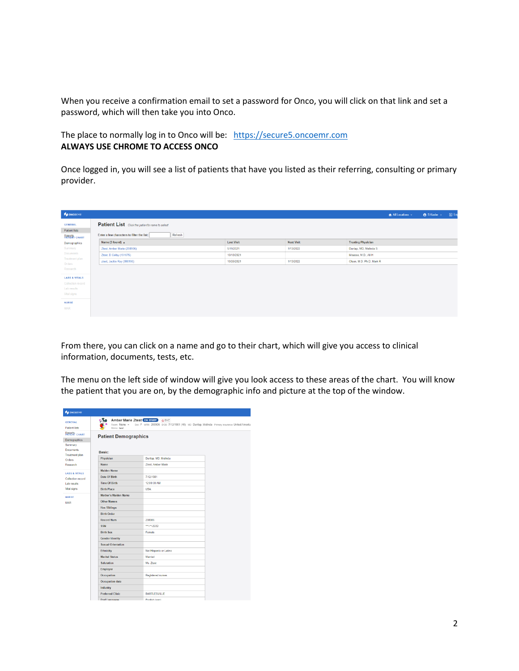When you receive a confirmation email to set a password for Onco, you will click on that link and set a password, which will then take you into Onco.

The place to normally log in to Onco will be: https://secure5.oncoemr.com **ALWAYS USE CHROME TO ACCESS ONCO**

Once logged in, you will see a list of patients that have you listed as their referring, consulting or primary provider.

| <b>P</b> ONCOEMR                |                                                        |                   |                   |                           | All Locations v | <b>8</b> S Kusler v | 图 Lo |
|---------------------------------|--------------------------------------------------------|-------------------|-------------------|---------------------------|-----------------|---------------------|------|
| <b>GENERAL</b><br>Patient lists | <b>Patient List</b> Click the patient's name to select |                   |                   |                           |                 |                     |      |
| <b>BEPRET</b> CHART             | Enter a few characters to filter the list:<br>Refresh  |                   |                   |                           |                 |                     |      |
| Demographics                    | Name (3 found) 4                                       | <b>Last Visit</b> | <b>Next Visit</b> | <b>Treating Physician</b> |                 |                     |      |
| Summary                         | Ztest, Amber Marie (208906)                            | 5/11/2021         | 1/13/2022         | Dunlap, MD, Melinda S     |                 |                     |      |
| Documents<br>Treatment plan     | Ztest, D Colby (191675)                                | 10/13/2021        |                   | Moussa, M.D., Ali H       |                 |                     |      |
| Orders                          | ztest, Jackie Ray (808195)                             | 10/25/2021        | 1/13/2022         | Olsen, M.D. Ph.D, Mark R  |                 |                     |      |
| Research                        |                                                        |                   |                   |                           |                 |                     |      |
| <b>LABS &amp; VITALS</b>        |                                                        |                   |                   |                           |                 |                     |      |
| Collection record               |                                                        |                   |                   |                           |                 |                     |      |
| Lab results                     |                                                        |                   |                   |                           |                 |                     |      |
| Vital signs                     |                                                        |                   |                   |                           |                 |                     |      |
| <b>NURSE</b>                    |                                                        |                   |                   |                           |                 |                     |      |
| <b>MAR</b>                      |                                                        |                   |                   |                           |                 |                     |      |
|                                 |                                                        |                   |                   |                           |                 |                     |      |

From there, you can click on a name and go to their chart, which will give you access to clinical information, documents, tests, etc.

The menu on the left side of window will give you look access to these areas of the chart. You will know the patient that you are on, by the demographic info and picture at the top of the window.

| <b>SONCOEMR</b>                           |                                                               |                                                                                              |  |
|-------------------------------------------|---------------------------------------------------------------|----------------------------------------------------------------------------------------------|--|
| <b>GENERAL</b><br><b>Patient lists</b>    | Amber Marie Ztest ON STUDY OSYC<br>Room: None v<br>Memo: test | Sex: F MRN: 208906 DOB: 7/12/1981 (40) MD: Dunlap, Melinda Primary insurance: United America |  |
| BEPRIS CHART<br>Demographics<br>Summary   | <b>Patient Demographics</b>                                   |                                                                                              |  |
| <b>Documents</b><br><b>Treatment plan</b> | Basic:                                                        |                                                                                              |  |
| Orders                                    | Physician                                                     | Dunlap, MD, Melinda                                                                          |  |
| Research                                  | <b>Name</b>                                                   | Ztest, Amber Marie                                                                           |  |
| <b>LABS &amp; VITALS</b>                  | <b>Maiden Name</b>                                            |                                                                                              |  |
| Collection record                         | <b>Date Of Birth</b>                                          | 7/12/1981                                                                                    |  |
| Lab results                               | <b>Time Of Birth</b>                                          | 12:00:00 AM                                                                                  |  |
| Vital signs                               | <b>Birth Place</b>                                            | <b>USA</b>                                                                                   |  |
| <b>NURSE</b>                              | Mother's Maiden Name                                          |                                                                                              |  |
| <b>MAR</b>                                | <b>Other Names</b>                                            |                                                                                              |  |
|                                           | <b>Has Siblings</b>                                           |                                                                                              |  |
|                                           | <b>Birth Order</b>                                            |                                                                                              |  |
|                                           | <b>Record Num</b>                                             | 208906                                                                                       |  |
|                                           | <b>SSN</b>                                                    | ***-**-2222                                                                                  |  |
|                                           | <b>Birth Sex</b>                                              | Female                                                                                       |  |
|                                           | <b>Gender Identity</b>                                        |                                                                                              |  |
|                                           | <b>Sexual Orientation</b>                                     |                                                                                              |  |
|                                           | <b>Ethnicity</b>                                              | Not Hispanic or Latino                                                                       |  |
|                                           | <b>Marital Status</b>                                         | Married                                                                                      |  |
|                                           | <b>Salutation</b>                                             | Ms. Ztest                                                                                    |  |
|                                           | Employer                                                      |                                                                                              |  |
|                                           | Occupation                                                    | Registered nurses                                                                            |  |
|                                           | Occupation date                                               |                                                                                              |  |
|                                           | <b>Industry</b>                                               |                                                                                              |  |
|                                           | <b>Preferred Clinic</b>                                       | <b>BARTLESVILLE</b>                                                                          |  |
|                                           | Pref Language                                                 | English (eng)                                                                                |  |